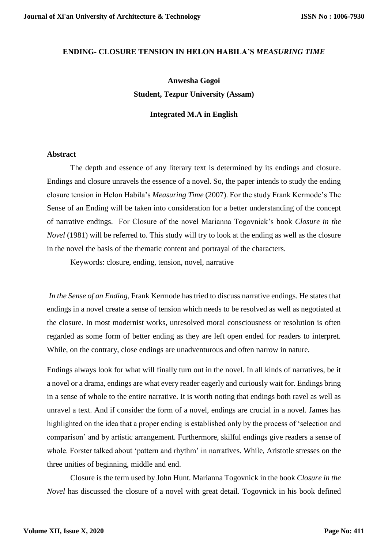### **ENDING- CLOSURE TENSION IN HELON HABILA'S** *MEASURING TIME*

# **Anwesha Gogoi Student, Tezpur University (Assam)**

## **Integrated M.A in English**

## **Abstract**

The depth and essence of any literary text is determined by its endings and closure. Endings and closure unravels the essence of a novel. So, the paper intends to study the ending closure tension in Helon Habila's *Measuring Time* (2007). For the study Frank Kermode's The Sense of an Ending will be taken into consideration for a better understanding of the concept of narrative endings. For Closure of the novel Marianna Togovnick's book *Closure in the Novel* (1981) will be referred to. This study will try to look at the ending as well as the closure in the novel the basis of the thematic content and portrayal of the characters.

Keywords: closure, ending, tension, novel, narrative

*In the Sense of an Ending*, Frank Kermode has tried to discuss narrative endings. He states that endings in a novel create a sense of tension which needs to be resolved as well as negotiated at the closure. In most modernist works, unresolved moral consciousness or resolution is often regarded as some form of better ending as they are left open ended for readers to interpret. While, on the contrary, close endings are unadventurous and often narrow in nature.

Endings always look for what will finally turn out in the novel. In all kinds of narratives, be it a novel or a drama, endings are what every reader eagerly and curiously wait for. Endings bring in a sense of whole to the entire narrative. It is worth noting that endings both ravel as well as unravel a text. And if consider the form of a novel, endings are crucial in a novel. James has highlighted on the idea that a proper ending is established only by the process of 'selection and comparison' and by artistic arrangement. Furthermore, skilful endings give readers a sense of whole. Forster talked about 'pattern and rhythm' in narratives. While, Aristotle stresses on the three unities of beginning, middle and end.

Closure is the term used by John Hunt. Marianna Togovnick in the book *Closure in the Novel* has discussed the closure of a novel with great detail. Togovnick in his book defined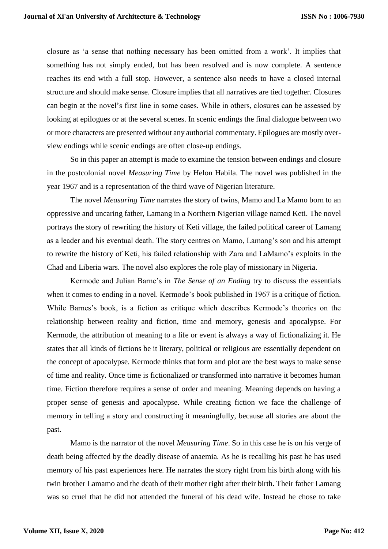closure as 'a sense that nothing necessary has been omitted from a work'. It implies that something has not simply ended, but has been resolved and is now complete. A sentence reaches its end with a full stop. However, a sentence also needs to have a closed internal structure and should make sense. Closure implies that all narratives are tied together. Closures can begin at the novel's first line in some cases. While in others, closures can be assessed by looking at epilogues or at the several scenes. In scenic endings the final dialogue between two or more characters are presented without any authorial commentary. Epilogues are mostly overview endings while scenic endings are often close-up endings.

So in this paper an attempt is made to examine the tension between endings and closure in the postcolonial novel *Measuring Time* by Helon Habila. The novel was published in the year 1967 and is a representation of the third wave of Nigerian literature.

The novel *Measuring Time* narrates the story of twins, Mamo and La Mamo born to an oppressive and uncaring father, Lamang in a Northern Nigerian village named Keti. The novel portrays the story of rewriting the history of Keti village, the failed political career of Lamang as a leader and his eventual death. The story centres on Mamo, Lamang's son and his attempt to rewrite the history of Keti, his failed relationship with Zara and LaMamo's exploits in the Chad and Liberia wars. The novel also explores the role play of missionary in Nigeria.

Kermode and Julian Barne's in *The Sense of an Ending* try to discuss the essentials when it comes to ending in a novel. Kermode's book published in 1967 is a critique of fiction. While Barnes's book, is a fiction as critique which describes Kermode's theories on the relationship between reality and fiction, time and memory, genesis and apocalypse. For Kermode, the attribution of meaning to a life or event is always a way of fictionalizing it. He states that all kinds of fictions be it literary, political or religious are essentially dependent on the concept of apocalypse. Kermode thinks that form and plot are the best ways to make sense of time and reality. Once time is fictionalized or transformed into narrative it becomes human time. Fiction therefore requires a sense of order and meaning. Meaning depends on having a proper sense of genesis and apocalypse. While creating fiction we face the challenge of memory in telling a story and constructing it meaningfully, because all stories are about the past.

Mamo is the narrator of the novel *Measuring Time*. So in this case he is on his verge of death being affected by the deadly disease of anaemia. As he is recalling his past he has used memory of his past experiences here. He narrates the story right from his birth along with his twin brother Lamamo and the death of their mother right after their birth. Their father Lamang was so cruel that he did not attended the funeral of his dead wife. Instead he chose to take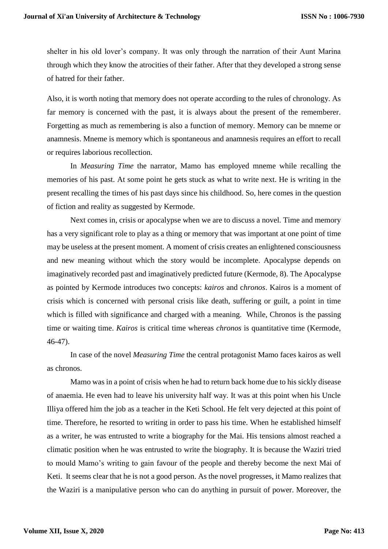shelter in his old lover's company. It was only through the narration of their Aunt Marina through which they know the atrocities of their father. After that they developed a strong sense of hatred for their father.

Also, it is worth noting that memory does not operate according to the rules of chronology. As far memory is concerned with the past, it is always about the present of the rememberer. Forgetting as much as remembering is also a function of memory. Memory can be mneme or anamnesis. Mneme is memory which is spontaneous and anamnesis requires an effort to recall or requires laborious recollection.

In *Measuring Time* the narrator, Mamo has employed mneme while recalling the memories of his past. At some point he gets stuck as what to write next. He is writing in the present recalling the times of his past days since his childhood. So, here comes in the question of fiction and reality as suggested by Kermode.

Next comes in, crisis or apocalypse when we are to discuss a novel. Time and memory has a very significant role to play as a thing or memory that was important at one point of time may be useless at the present moment. A moment of crisis creates an enlightened consciousness and new meaning without which the story would be incomplete. Apocalypse depends on imaginatively recorded past and imaginatively predicted future (Kermode, 8). The Apocalypse as pointed by Kermode introduces two concepts: *kairos* and c*hronos*. Kairos is a moment of crisis which is concerned with personal crisis like death, suffering or guilt, a point in time which is filled with significance and charged with a meaning. While, Chronos is the passing time or waiting time. *Kairos* is critical time whereas *chronos* is quantitative time (Kermode, 46-47).

In case of the novel *Measuring Time* the central protagonist Mamo faces kairos as well as chronos.

Mamo was in a point of crisis when he had to return back home due to his sickly disease of anaemia. He even had to leave his university half way. It was at this point when his Uncle Illiya offered him the job as a teacher in the Keti School. He felt very dejected at this point of time. Therefore, he resorted to writing in order to pass his time. When he established himself as a writer, he was entrusted to write a biography for the Mai. His tensions almost reached a climatic position when he was entrusted to write the biography. It is because the Waziri tried to mould Mamo's writing to gain favour of the people and thereby become the next Mai of Keti. It seems clear that he is not a good person. As the novel progresses, it Mamo realizes that the Waziri is a manipulative person who can do anything in pursuit of power. Moreover, the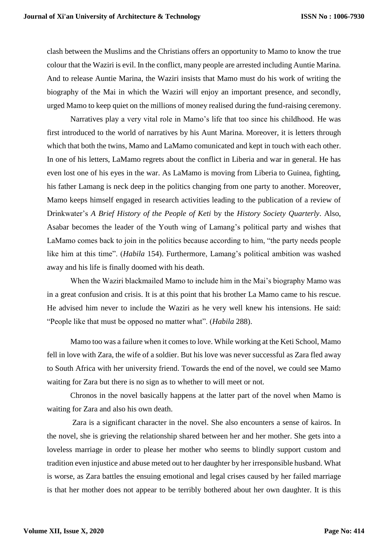clash between the Muslims and the Christians offers an opportunity to Mamo to know the true colour that the Waziri is evil. In the conflict, many people are arrested including Auntie Marina. And to release Auntie Marina, the Waziri insists that Mamo must do his work of writing the biography of the Mai in which the Waziri will enjoy an important presence, and secondly, urged Mamo to keep quiet on the millions of money realised during the fund-raising ceremony.

Narratives play a very vital role in Mamo's life that too since his childhood. He was first introduced to the world of narratives by his Aunt Marina. Moreover, it is letters through which that both the twins, Mamo and LaMamo comunicated and kept in touch with each other. In one of his letters, LaMamo regrets about the conflict in Liberia and war in general. He has even lost one of his eyes in the war. As LaMamo is moving from Liberia to Guinea, fighting, his father Lamang is neck deep in the politics changing from one party to another. Moreover, Mamo keeps himself engaged in research activities leading to the publication of a review of Drinkwater's *A Brief History of the People of Keti* by the *History Society Quarterly*. Also, Asabar becomes the leader of the Youth wing of Lamang's political party and wishes that LaMamo comes back to join in the politics because according to him, "the party needs people like him at this time". (*Habila* 154). Furthermore, Lamang's political ambition was washed away and his life is finally doomed with his death.

When the Waziri blackmailed Mamo to include him in the Mai's biography Mamo was in a great confusion and crisis. It is at this point that his brother La Mamo came to his rescue. He advised him never to include the Waziri as he very well knew his intensions. He said: "People like that must be opposed no matter what". (*Habila* 288).

Mamo too was a failure when it comes to love. While working at the Keti School, Mamo fell in love with Zara, the wife of a soldier. But his love was never successful as Zara fled away to South Africa with her university friend. Towards the end of the novel, we could see Mamo waiting for Zara but there is no sign as to whether to will meet or not.

Chronos in the novel basically happens at the latter part of the novel when Mamo is waiting for Zara and also his own death.

Zara is a significant character in the novel. She also encounters a sense of kairos. In the novel, she is grieving the relationship shared between her and her mother. She gets into a loveless marriage in order to please her mother who seems to blindly support custom and tradition even injustice and abuse meted out to her daughter by her irresponsible husband. What is worse, as Zara battles the ensuing emotional and legal crises caused by her failed marriage is that her mother does not appear to be terribly bothered about her own daughter. It is this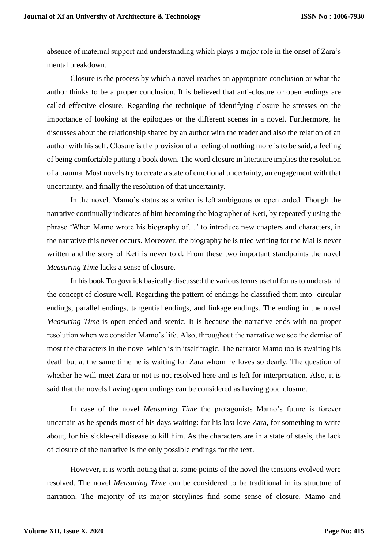absence of maternal support and understanding which plays a major role in the onset of Zara's mental breakdown.

Closure is the process by which a novel reaches an appropriate conclusion or what the author thinks to be a proper conclusion. It is believed that anti-closure or open endings are called effective closure. Regarding the technique of identifying closure he stresses on the importance of looking at the epilogues or the different scenes in a novel. Furthermore, he discusses about the relationship shared by an author with the reader and also the relation of an author with his self. Closure is the provision of a feeling of nothing more is to be said, a feeling of being comfortable putting a book down. The word closure in literature implies the resolution of a trauma. Most novels try to create a state of emotional uncertainty, an engagement with that uncertainty, and finally the resolution of that uncertainty.

In the novel, Mamo's status as a writer is left ambiguous or open ended. Though the narrative continually indicates of him becoming the biographer of Keti, by repeatedly using the phrase 'When Mamo wrote his biography of…' to introduce new chapters and characters, in the narrative this never occurs. Moreover, the biography he is tried writing for the Mai is never written and the story of Keti is never told. From these two important standpoints the novel *Measuring Time* lacks a sense of closure.

In his book Torgovnick basically discussed the various terms useful for us to understand the concept of closure well. Regarding the pattern of endings he classified them into- circular endings, parallel endings, tangential endings, and linkage endings. The ending in the novel *Measuring Time* is open ended and scenic. It is because the narrative ends with no proper resolution when we consider Mamo's life. Also, throughout the narrative we see the demise of most the characters in the novel which is in itself tragic. The narrator Mamo too is awaiting his death but at the same time he is waiting for Zara whom he loves so dearly. The question of whether he will meet Zara or not is not resolved here and is left for interpretation. Also, it is said that the novels having open endings can be considered as having good closure.

In case of the novel *Measuring Time* the protagonists Mamo's future is forever uncertain as he spends most of his days waiting: for his lost love Zara, for something to write about, for his sickle-cell disease to kill him. As the characters are in a state of stasis, the lack of closure of the narrative is the only possible endings for the text.

However, it is worth noting that at some points of the novel the tensions evolved were resolved. The novel *Measuring Time* can be considered to be traditional in its structure of narration. The majority of its major storylines find some sense of closure. Mamo and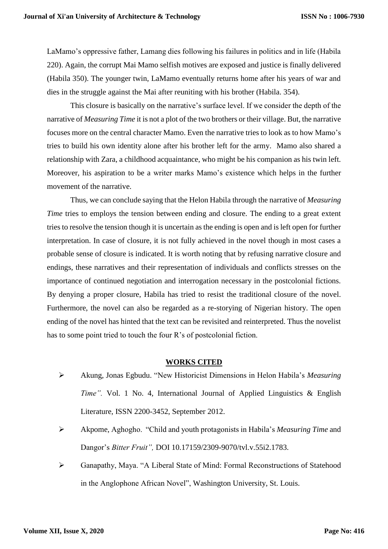LaMamo's oppressive father, Lamang dies following his failures in politics and in life (Habila 220). Again, the corrupt Mai Mamo selfish motives are exposed and justice is finally delivered (Habila 350). The younger twin, LaMamo eventually returns home after his years of war and dies in the struggle against the Mai after reuniting with his brother (Habila. 354).

This closure is basically on the narrative's surface level. If we consider the depth of the narrative of *Measuring Time* it is not a plot of the two brothers or their village. But, the narrative focuses more on the central character Mamo. Even the narrative tries to look as to how Mamo's tries to build his own identity alone after his brother left for the army. Mamo also shared a relationship with Zara, a childhood acquaintance, who might be his companion as his twin left. Moreover, his aspiration to be a writer marks Mamo's existence which helps in the further movement of the narrative.

Thus, we can conclude saying that the Helon Habila through the narrative of *Measuring Time* tries to employs the tension between ending and closure. The ending to a great extent tries to resolve the tension though it is uncertain as the ending is open and is left open for further interpretation. In case of closure, it is not fully achieved in the novel though in most cases a probable sense of closure is indicated. It is worth noting that by refusing narrative closure and endings, these narratives and their representation of individuals and conflicts stresses on the importance of continued negotiation and interrogation necessary in the postcolonial fictions. By denying a proper closure, Habila has tried to resist the traditional closure of the novel. Furthermore, the novel can also be regarded as a re-storying of Nigerian history. The open ending of the novel has hinted that the text can be revisited and reinterpreted. Thus the novelist has to some point tried to touch the four R's of postcolonial fiction.

### **WORKS CITED**

- Akung, Jonas Egbudu. "New Historicist Dimensions in Helon Habila's *Measuring Time".* Vol. 1 No. 4, International Journal of Applied Linguistics & English Literature, ISSN 2200-3452, September 2012.
- Akpome, Aghogho. "Child and youth protagonists in Habila's *Measuring Time* and Dangor's *Bitter Fruit",* DOI 10.17159/2309-9070/tvl.v.55i2.1783.
- Ganapathy, Maya. "A Liberal State of Mind: Formal Reconstructions of Statehood in the Anglophone African Novel", Washington University, St. Louis.